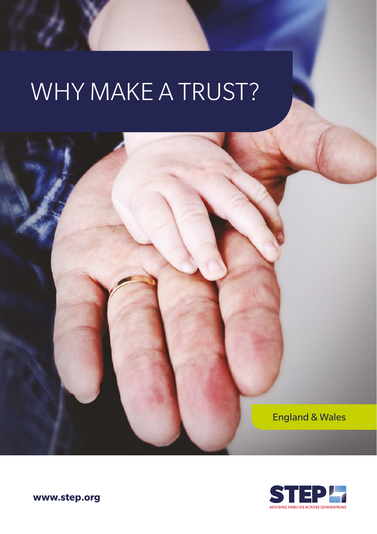# WHY MAKE A TRUST?





**www.step.org**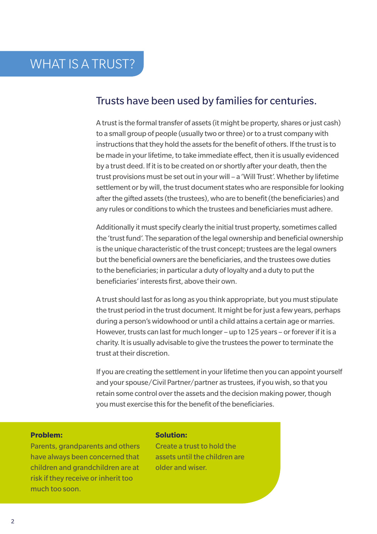# Trusts have been used by families for centuries.

A trust is the formal transfer of assets (it might be property, shares or just cash) to a small group of people (usually two or three) or to a trust company with instructions that they hold the assets for the benefit of others. If the trust is to be made in your lifetime, to take immediate effect, then it is usually evidenced by a trust deed. If it is to be created on or shortly after your death, then the trust provisions must be set out in your will – a 'Will Trust'. Whether by lifetime settlement or by will, the trust document states who are responsible for looking after the gifted assets (the trustees), who are to benefit (the beneficiaries) and any rules or conditions to which the trustees and beneficiaries must adhere.

Additionally it must specify clearly the initial trust property, sometimes called the 'trust fund'. The separation of the legal ownership and beneficial ownership is the unique characteristic of the trust concept; trustees are the legal owners but the beneficial owners are the beneficiaries, and the trustees owe duties to the beneficiaries; in particular a duty of loyalty and a duty to put the beneficiaries' interests first, above their own.

A trust should last for as long as you think appropriate, but you must stipulate the trust period in the trust document. It might be for just a few years, perhaps during a person's widowhood or until a child attains a certain age or marries. However, trusts can last for much longer – up to 125 years – or forever if it is a charity. It is usually advisable to give the trustees the power to terminate the trust at their discretion.

If you are creating the settlement in your lifetime then you can appoint yourself and your spouse/Civil Partner/partner as trustees, if you wish, so that you retain some control over the assets and the decision making power, though you must exercise this for the benefit of the beneficiaries.

### **Problem:**

Parents, grandparents and others have always been concerned that children and grandchildren are at risk if they receive or inherit too much too soon.

# **Solution:**

Create a trust to hold the assets until the children are older and wiser.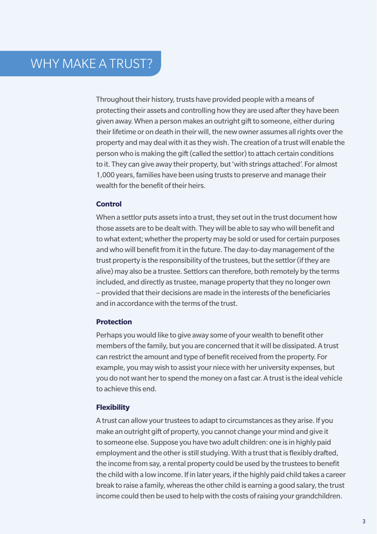Throughout their history, trusts have provided people with a means of protecting their assets and controlling how they are used after they have been given away. When a person makes an outright gift to someone, either during their lifetime or on death in their will, the new owner assumes all rights over the property and may deal with it as they wish. The creation of a trust will enable the person who is making the gift (called the settlor) to attach certain conditions to it. They can give away their property, but 'with strings attached'. For almost 1,000 years, families have been using trusts to preserve and manage their wealth for the benefit of their heirs.

# **Control**

When a settlor puts assets into a trust, they set out in the trust document how those assets are to be dealt with. They will be able to say who will benefit and to what extent; whether the property may be sold or used for certain purposes and who will benefit from it in the future. The day-to-day management of the trust property is the responsibility of the trustees, but the settlor (if they are alive) may also be a trustee. Settlors can therefore, both remotely by the terms included, and directly as trustee, manage property that they no longer own – provided that their decisions are made in the interests of the beneficiaries and in accordance with the terms of the trust.

# **Protection**

Perhaps you would like to give away some of your wealth to benefit other members of the family, but you are concerned that it will be dissipated. A trust can restrict the amount and type of benefit received from the property. For example, you may wish to assist your niece with her university expenses, but you do not want her to spend the money on a fast car. A trust is the ideal vehicle to achieve this end.

# **Flexibility**

A trust can allow your trustees to adapt to circumstances as they arise. If you make an outright gift of property, you cannot change your mind and give it to someone else. Suppose you have two adult children: one is in highly paid employment and the other is still studying. With a trust that is flexibly drafted, the income from say, a rental property could be used by the trustees to benefit the child with a low income. If in later years, if the highly paid child takes a career break to raise a family, whereas the other child is earning a good salary, the trust income could then be used to help with the costs of raising your grandchildren.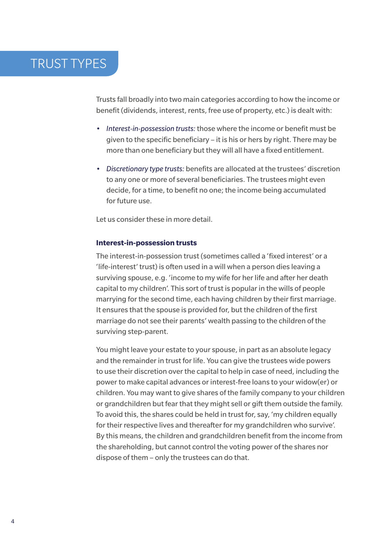# TRUST TYPES

Trusts fall broadly into two main categories according to how the income or benefit (dividends, interest, rents, free use of property, etc.) is dealt with:

- *Interest-in-possession trusts:* those where the income or benefit must be given to the specific beneficiary – it is his or hers by right. There may be more than one beneficiary but they will all have a fixed entitlement.
- *Discretionary type trusts:* benefits are allocated at the trustees' discretion to any one or more of several beneficiaries. The trustees might even decide, for a time, to benefit no one; the income being accumulated for future use.

Let us consider these in more detail.

# **Interest-in-possession trusts**

The interest-in-possession trust (sometimes called a 'fixed interest' or a 'life-interest' trust) is often used in a will when a person dies leaving a surviving spouse, e.g. 'income to my wife for her life and after her death capital to my children'. This sort of trust is popular in the wills of people marrying for the second time, each having children by their first marriage. It ensures that the spouse is provided for, but the children of the first marriage do not see their parents' wealth passing to the children of the surviving step-parent.

You might leave your estate to your spouse, in part as an absolute legacy and the remainder in trust for life. You can give the trustees wide powers to use their discretion over the capital to help in case of need, including the power to make capital advances or interest-free loans to your widow(er) or children. You may want to give shares of the family company to your children or grandchildren but fear that they might sell or gift them outside the family. To avoid this, the shares could be held in trust for, say, 'my children equally for their respective lives and thereafter for my grandchildren who survive'. By this means, the children and grandchildren benefit from the income from the shareholding, but cannot control the voting power of the shares nor dispose of them – only the trustees can do that.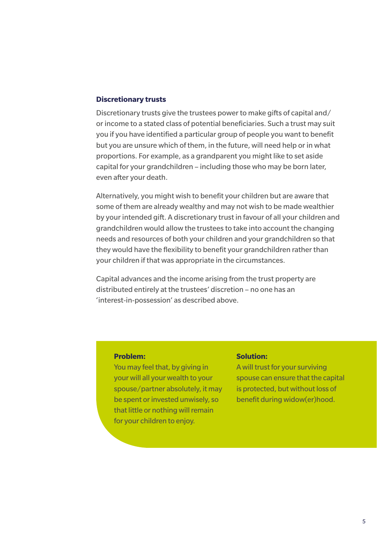## **Discretionary trusts**

Discretionary trusts give the trustees power to make gifts of capital and/ or income to a stated class of potential beneficiaries. Such a trust may suit you if you have identified a particular group of people you want to benefit but you are unsure which of them, in the future, will need help or in what proportions. For example, as a grandparent you might like to set aside capital for your grandchildren – including those who may be born later, even after your death.

Alternatively, you might wish to benefit your children but are aware that some of them are already wealthy and may not wish to be made wealthier by your intended gift. A discretionary trust in favour of all your children and grandchildren would allow the trustees to take into account the changing needs and resources of both your children and your grandchildren so that they would have the flexibility to benefit your grandchildren rather than your children if that was appropriate in the circumstances.

Capital advances and the income arising from the trust property are distributed entirely at the trustees' discretion – no one has an 'interest-in-possession' as described above.

## **Problem:**

You may feel that, by giving in your will all your wealth to your spouse/partner absolutely, it may be spent or invested unwisely, so that little or nothing will remain for your children to enjoy.

# **Solution:**

A will trust for your surviving spouse can ensure that the capital is protected, but without loss of benefit during widow(er)hood.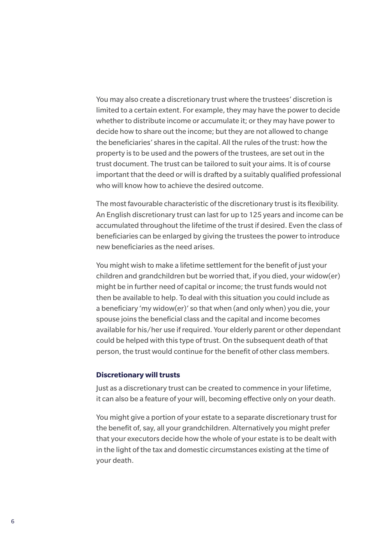You may also create a discretionary trust where the trustees' discretion is limited to a certain extent. For example, they may have the power to decide whether to distribute income or accumulate it; or they may have power to decide how to share out the income; but they are not allowed to change the beneficiaries' shares in the capital. All the rules of the trust: how the property is to be used and the powers of the trustees, are set out in the trust document. The trust can be tailored to suit your aims. It is of course important that the deed or will is drafted by a suitably qualified professional who will know how to achieve the desired outcome.

The most favourable characteristic of the discretionary trust is its flexibility. An English discretionary trust can last for up to 125 years and income can be accumulated throughout the lifetime of the trust if desired. Even the class of beneficiaries can be enlarged by giving the trustees the power to introduce new beneficiaries as the need arises.

You might wish to make a lifetime settlement for the benefit of just your children and grandchildren but be worried that, if you died, your widow(er) might be in further need of capital or income; the trust funds would not then be available to help. To deal with this situation you could include as a beneficiary 'my widow(er)' so that when (and only when) you die, your spouse joins the beneficial class and the capital and income becomes available for his/her use if required. Your elderly parent or other dependant could be helped with this type of trust. On the subsequent death of that person, the trust would continue for the benefit of other class members.

# **Discretionary will trusts**

Just as a discretionary trust can be created to commence in your lifetime, it can also be a feature of your will, becoming effective only on your death.

You might give a portion of your estate to a separate discretionary trust for the benefit of, say, all your grandchildren. Alternatively you might prefer that your executors decide how the whole of your estate is to be dealt with in the light of the tax and domestic circumstances existing at the time of your death.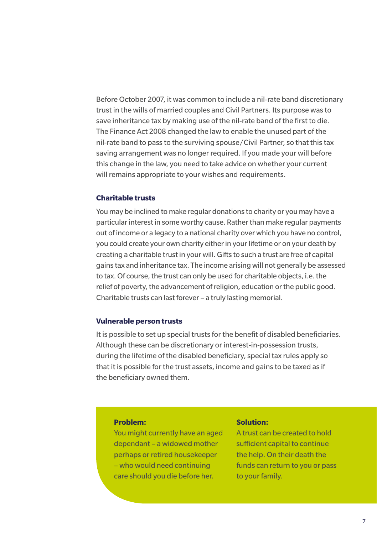Before October 2007, it was common to include a nil-rate band discretionary trust in the wills of married couples and Civil Partners. Its purpose was to save inheritance tax by making use of the nil-rate band of the first to die. The Finance Act 2008 changed the law to enable the unused part of the nil-rate band to pass to the surviving spouse/Civil Partner, so that this tax saving arrangement was no longer required. If you made your will before this change in the law, you need to take advice on whether your current will remains appropriate to your wishes and requirements.

# **Charitable trusts**

You may be inclined to make regular donations to charity or you may have a particular interest in some worthy cause. Rather than make regular payments out of income or a legacy to a national charity over which you have no control, you could create your own charity either in your lifetime or on your death by creating a charitable trust in your will. Gifts to such a trust are free of capital gains tax and inheritance tax. The income arising will not generally be assessed to tax. Of course, the trust can only be used for charitable objects, i.e. the relief of poverty, the advancement of religion, education or the public good. Charitable trusts can last forever – a truly lasting memorial.

# **Vulnerable person trusts**

It is possible to set up special trusts for the benefit of disabled beneficiaries. Although these can be discretionary or interest-in-possession trusts, during the lifetime of the disabled beneficiary, special tax rules apply so that it is possible for the trust assets, income and gains to be taxed as if the beneficiary owned them.

# **Problem:**

You might currently have an aged dependant – a widowed mother perhaps or retired housekeeper – who would need continuing care should you die before her.

### **Solution:**

A trust can be created to hold sufficient capital to continue the help. On their death the funds can return to you or pass to your family.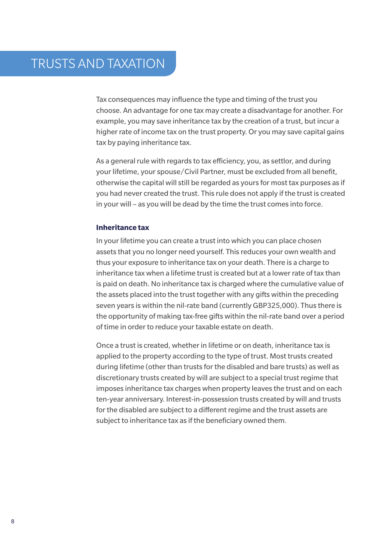Tax consequences may influence the type and timing of the trust you choose. An advantage for one tax may create a disadvantage for another. For example, you may save inheritance tax by the creation of a trust, but incur a higher rate of income tax on the trust property. Or you may save capital gains tax by paying inheritance tax.

As a general rule with regards to tax efficiency, you, as settlor, and during your lifetime, your spouse/Civil Partner, must be excluded from all benefit, otherwise the capital will still be regarded as yours for most tax purposes as if you had never created the trust. This rule does not apply if the trust is created in your will – as you will be dead by the time the trust comes into force.

# **Inheritance tax**

In your lifetime you can create a trust into which you can place chosen assets that you no longer need yourself. This reduces your own wealth and thus your exposure to inheritance tax on your death. There is a charge to inheritance tax when a lifetime trust is created but at a lower rate of tax than is paid on death. No inheritance tax is charged where the cumulative value of the assets placed into the trust together with any gifts within the preceding seven years is within the nil-rate band (currently GBP325,000). Thus there is the opportunity of making tax-free gifts within the nil-rate band over a period of time in order to reduce your taxable estate on death.

Once a trust is created, whether in lifetime or on death, inheritance tax is applied to the property according to the type of trust. Most trusts created during lifetime (other than trusts for the disabled and bare trusts) as well as discretionary trusts created by will are subject to a special trust regime that imposes inheritance tax charges when property leaves the trust and on each ten-year anniversary. Interest-in-possession trusts created by will and trusts for the disabled are subject to a different regime and the trust assets are subject to inheritance tax as if the beneficiary owned them.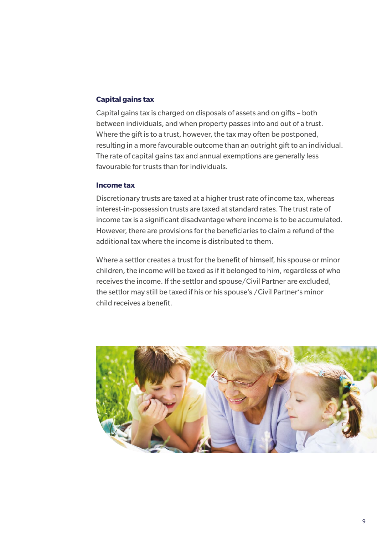# **Capital gains tax**

Capital gains tax is charged on disposals of assets and on gifts – both between individuals, and when property passes into and out of a trust. Where the gift is to a trust, however, the tax may often be postponed, resulting in a more favourable outcome than an outright gift to an individual. The rate of capital gains tax and annual exemptions are generally less favourable for trusts than for individuals.

# **Income tax**

Discretionary trusts are taxed at a higher trust rate of income tax, whereas interest-in-possession trusts are taxed at standard rates. The trust rate of income tax is a significant disadvantage where income is to be accumulated. However, there are provisions for the beneficiaries to claim a refund of the additional tax where the income is distributed to them.

Where a settlor creates a trust for the benefit of himself, his spouse or minor children, the income will be taxed as if it belonged to him, regardless of who receives the income. If the settlor and spouse/Civil Partner are excluded, the settlor may still be taxed if his or his spouse's /Civil Partner's minor child receives a benefit.

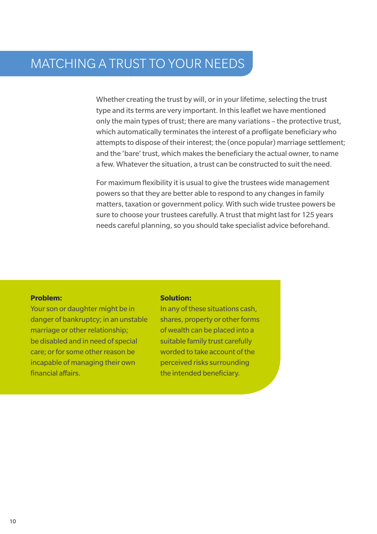# MATCHING A TRUST TO YOUR NEEDS

Whether creating the trust by will, or in your lifetime, selecting the trust type and its terms are very important. In this leaflet we have mentioned only the main types of trust; there are many variations – the protective trust, which automatically terminates the interest of a profligate beneficiary who attempts to dispose of their interest; the (once popular) marriage settlement; and the 'bare' trust, which makes the beneficiary the actual owner, to name a few. Whatever the situation, a trust can be constructed to suit the need.

For maximum flexibility it is usual to give the trustees wide management powers so that they are better able to respond to any changes in family matters, taxation or government policy. With such wide trustee powers be sure to choose your trustees carefully. A trust that might last for 125 years needs careful planning, so you should take specialist advice beforehand.

# **Problem:**

Your son or daughter might be in danger of bankruptcy; in an unstable marriage or other relationship; be disabled and in need of special care; or for some other reason be incapable of managing their own financial affairs.

### **Solution:**

In any of these situations cash, shares, property or other forms of wealth can be placed into a suitable family trust carefully worded to take account of the perceived risks surrounding the intended beneficiary.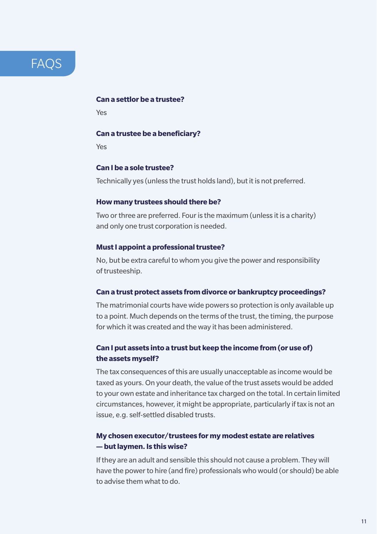# **FAOS**

# **Can a settlor be a trustee?**

Yes

# **Can a trustee be a beneficiary?**

Yes

# **Can I be a sole trustee?**

Technically yes (unless the trust holds land), but it is not preferred.

# **How many trustees should there be?**

Two or three are preferred. Four is the maximum (unless it is a charity) and only one trust corporation is needed.

# **Must I appoint a professional trustee?**

No, but be extra careful to whom you give the power and responsibility of trusteeship.

# **Can a trust protect assets from divorce or bankruptcy proceedings?**

The matrimonial courts have wide powers so protection is only available up to a point. Much depends on the terms of the trust, the timing, the purpose for which it was created and the way it has been administered.

# **Can I put assets into a trust but keep the income from (or use of) the assets myself?**

The tax consequences of this are usually unacceptable as income would be taxed as yours. On your death, the value of the trust assets would be added to your own estate and inheritance tax charged on the total. In certain limited circumstances, however, it might be appropriate, particularly if tax is not an issue, e.g. self-settled disabled trusts.

# **My chosen executor/trustees for my modest estate are relatives — but laymen. Is this wise?**

If they are an adult and sensible this should not cause a problem. They will have the power to hire (and fire) professionals who would (or should) be able to advise them what to do.